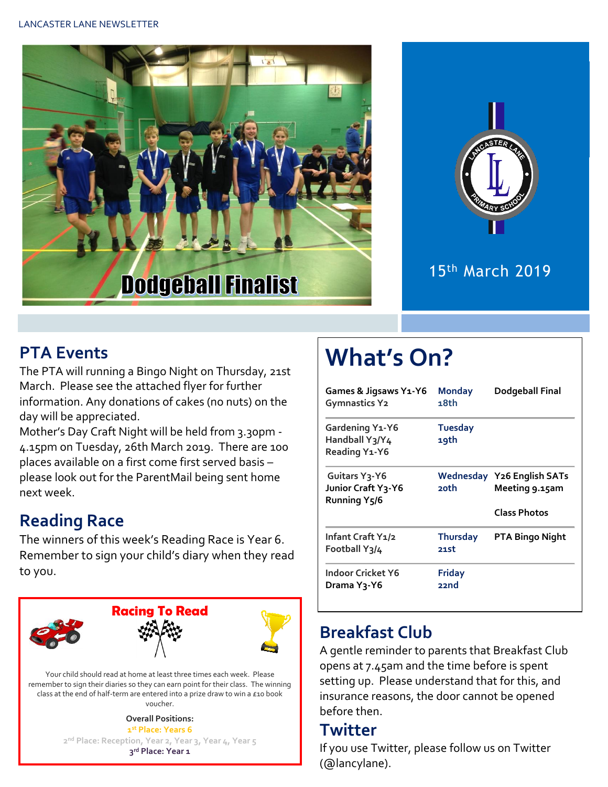



#### 15th March 2019

#### **PTA Events**

The PTA will running a Bingo Night on Thursday, 21st March. Please see the attached flyer for further information. Any donations of cakes (no nuts) on the day will be appreciated.

Mother's Day Craft Night will be held from 3.30pm - 4.15pm on Tuesday, 26th March 2019. There are 100 places available on a first come first served basis – please look out for the ParentMail being sent home next week.

### **Reading Race**

The winners of this week's Reading Race is Year 6. Remember to sign your child's diary when they read to you.



Your child should read at home at least three times each week. Please remember to sign their diaries so they can earn point for their class. The winning class at the end of half-term are entered into a prize draw to win a £10 book voucher.

> **Overall Positions: st Place: Years 6 nd Place: Reception, Year 2, Year 3, Year 4, Year 5 rd Place: Year 1**

# **What's On?**

| Games & Jigsaws Y1-Y6<br><b>Gymnastics Y2</b>              | <b>Monday</b><br>18th   | Dodgeball Final                                     |
|------------------------------------------------------------|-------------------------|-----------------------------------------------------|
| Gardening Y1-Y6<br>Handball Y3/Y4<br>Reading Y1-Y6         | <b>Tuesday</b><br>19th  |                                                     |
| Guitars Y3-Y6<br>Junior Craft Y3-Y6<br><b>Running Y5/6</b> | 20th                    | <b>Wednesday Y26 English SATs</b><br>Meeting 9.15am |
|                                                            |                         | <b>Class Photos</b>                                 |
| Infant Craft Y1/2<br>Football Y3/4                         | <b>Thursday</b><br>21st | <b>PTA Bingo Night</b>                              |
| Indoor Cricket Y6<br>Drama Y <sub>3</sub> -Y6              | <b>Friday</b><br>22nd   |                                                     |

#### **Breakfast Club**

A gentle reminder to parents that Breakfast Club opens at 7.45am and the time before is spent setting up. Please understand that for this, and insurance reasons, the door cannot be opened before then.

#### **Twitter**

If you use Twitter, please follow us on Twitter (@lancylane).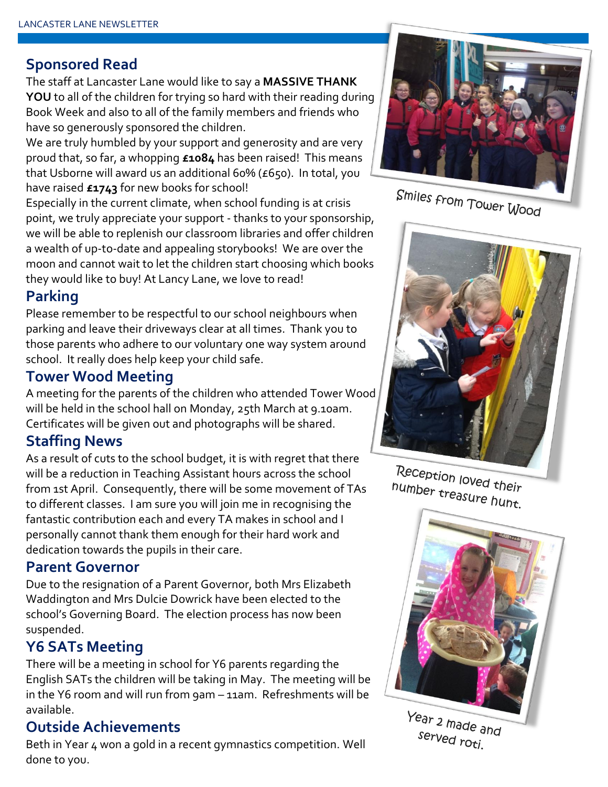#### **Sponsored Read**

The staff at Lancaster Lane would like to say a **MASSIVE THANK YOU** to all of the children for trying so hard with their reading during Book Week and also to all of the family members and friends who have so generously sponsored the children.

We are truly humbled by your support and generosity and are very proud that, so far, a whopping **£1084** has been raised! This means that Usborne will award us an additional 60% (£650). In total, you have raised **£1743** for new books for school!

Especially in the current climate, when school funding is at crisis point, we truly appreciate your support - thanks to your sponsorship, we will be able to replenish our classroom libraries and offer children a wealth of up-to-date and appealing storybooks! We are over the moon and cannot wait to let the children start choosing which books they would like to buy! At Lancy Lane, we love to read!

#### **Parking**

Please remember to be respectful to our school neighbours when parking and leave their driveways clear at all times. Thank you to those parents who adhere to our voluntary one way system around school. It really does help keep your child safe.

#### **Tower Wood Meeting**

A meeting for the parents of the children who attended Tower Wood will be held in the school hall on Monday, 25th March at 9.10am. Certificates will be given out and photographs will be shared.

#### **Staffing News**

As a result of cuts to the school budget, it is with regret that there will be a reduction in Teaching Assistant hours across the school from 1st April. Consequently, there will be some movement of TAs to different classes. I am sure you will join me in recognising the fantastic contribution each and every TA makes in school and I personally cannot thank them enough for their hard work and dedication towards the pupils in their care.

#### **Parent Governor**

Due to the resignation of a Parent Governor, both Mrs Elizabeth Waddington and Mrs Dulcie Dowrick have been elected to the school's Governing Board. The election process has now been suspended.

#### **Y6 SATs Meeting**

There will be a meeting in school for Y6 parents regarding the English SATs the children will be taking in May. The meeting will be in the Y6 room and will run from 9am – 11am. Refreshments will be available.

#### **Outside Achievements**

Beth in Year 4 won a gold in a recent gymnastics competition. Well done to you.



Smiles from Tower Wood



Reception loved their number treasure hunt.



served roti.